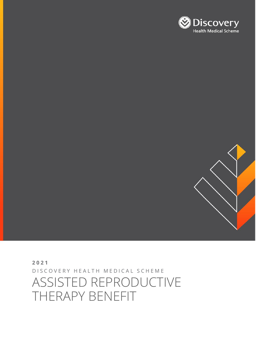# D I S C O V E R Y H E A L T H M E D I C A L S C H E M E ASSISTED REPRODUCTIVE THERAPY BENEFIT

**2021**

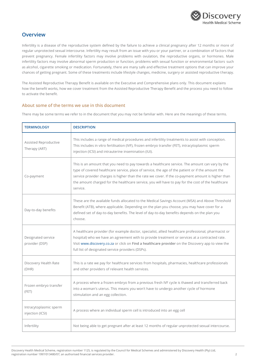

### **Overview**

Infertility is a disease of the reproductive system defined by the failure to achieve a clinical pregnancy after 12 months or more of regular unprotected sexual intercourse. Infertility may result from an issue with you or your partner, or a combination of factors that prevent pregnancy. Female infertility factors may involve problems with ovulation, the reproductive organs, or hormones. Male infertility factors may involve abnormal sperm production or function, problems with sexual function or environmental factors such as alcohol, cigarette smoking or medication. Fortunately, there are many safe and effective treatment options that can improve your chances of getting pregnant. Some of these treatments include lifestyle changes, medicine, surgery or assisted reproductive therapy.

The Assisted Reproductive Therapy Benefit is available on the Executive and Comprehensive plans only. This document explains how the benefit works, how we cover treatment from the Assisted Reproductive Therapy Benefit and the process you need to follow to activate the benefit.

#### **About some of the terms we use in this document**

There may be some terms we refer to in the document that you may not be familiar with. Here are the meanings of these terms.

| <b>TERMINOLOGY</b>                         | <b>DESCRIPTION</b>                                                                                                                                                                                                                                                                                                                                                                                                           |
|--------------------------------------------|------------------------------------------------------------------------------------------------------------------------------------------------------------------------------------------------------------------------------------------------------------------------------------------------------------------------------------------------------------------------------------------------------------------------------|
| Assisted Reproductive<br>Therapy (ART)     | This includes a range of medical procedures and infertility treatments to assist with conception.<br>This includes in vitro fertilisation (IVF), frozen embryo transfer (FET), intracytoplasmic sperm<br>injection (ICSI) and intrauterine insemination (IUI).                                                                                                                                                               |
| Co-payment                                 | This is an amount that you need to pay towards a healthcare service. The amount can vary by the<br>type of covered healthcare service, place of service, the age of the patient or if the amount the<br>service provider charges is higher than the rate we cover. If the co-payment amount is higher than<br>the amount charged for the healthcare service, you will have to pay for the cost of the healthcare<br>service. |
| Day-to-day benefits                        | These are the available funds allocated to the Medical Savings Account (MSA) and Above Threshold<br>Benefit (ATB), where applicable. Depending on the plan you choose, you may have cover for a<br>defined set of day-to-day benefits. The level of day-to-day benefits depends on the plan you<br>choose.                                                                                                                   |
| Designated service<br>provider (DSP)       | A healthcare provider (for example doctor, specialist, allied healthcare professional, pharmacist or<br>hospital) who we have an agreement with to provide treatment or services at a contracted rate.<br>Visit www.discovery.co.za or click on Find a healthcare provider on the Discovery app to view the<br>full list of designated service providers (DSPs).                                                             |
| Discovery Health Rate<br>(DHR)             | This is a rate we pay for healthcare services from hospitals, pharmacies, healthcare professionals<br>and other providers of relevant health services.                                                                                                                                                                                                                                                                       |
| Frozen embryo transfer<br>(FET)            | A process where a frozen embryo from a previous fresh IVF cycle is thawed and transferred back<br>into a woman's uterus. This means you won't have to undergo another cycle of hormone<br>stimulation and an egg collection.                                                                                                                                                                                                 |
| Intracytoplasmic sperm<br>injection (ICSI) | A process where an individual sperm cell is introduced into an egg cell                                                                                                                                                                                                                                                                                                                                                      |
| Infertility                                | Not being able to get pregnant after at least 12 months of regular unprotected sexual intercourse.                                                                                                                                                                                                                                                                                                                           |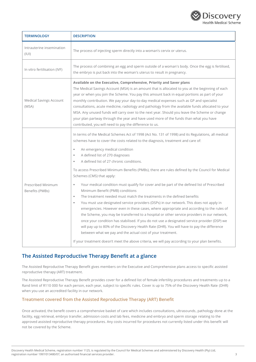

| <b>TERMINOLOGY</b>                      | <b>DESCRIPTION</b>                                                                                                                                                                                                                                                                                                                                                                                                                                                                                                                                                                                                                                                                                                                                                                                                                                                                                                                                                                                                                                                                                                                                                                                                                            |
|-----------------------------------------|-----------------------------------------------------------------------------------------------------------------------------------------------------------------------------------------------------------------------------------------------------------------------------------------------------------------------------------------------------------------------------------------------------------------------------------------------------------------------------------------------------------------------------------------------------------------------------------------------------------------------------------------------------------------------------------------------------------------------------------------------------------------------------------------------------------------------------------------------------------------------------------------------------------------------------------------------------------------------------------------------------------------------------------------------------------------------------------------------------------------------------------------------------------------------------------------------------------------------------------------------|
| Intrauterine insemination<br>(III)      | The process of injecting sperm directly into a woman's cervix or uterus.                                                                                                                                                                                                                                                                                                                                                                                                                                                                                                                                                                                                                                                                                                                                                                                                                                                                                                                                                                                                                                                                                                                                                                      |
| In vitro fertilisation (IVF)            | The process of combining an egg and sperm outside of a woman's body. Once the egg is fertilised,<br>the embryo is put back into the woman's uterus to result in pregnancy.                                                                                                                                                                                                                                                                                                                                                                                                                                                                                                                                                                                                                                                                                                                                                                                                                                                                                                                                                                                                                                                                    |
| <b>Medical Savings Account</b><br>(MSA) | Available on the Executive, Comprehensive, Priority and Saver plans<br>The Medical Savings Account (MSA) is an amount that is allocated to you at the beginning of each<br>year or when you join the Scheme. You pay this amount back in equal portions as part of your<br>monthly contribution. We pay your day-to-day medical expenses such as GP and specialist<br>consultations, acute medicine, radiology and pathology from the available funds allocated to your<br>MSA. Any unused funds will carry over to the next year. Should you leave the Scheme or change<br>your plan partway through the year and have used more of the funds than what you have<br>contributed, you will need to pay the difference to us.                                                                                                                                                                                                                                                                                                                                                                                                                                                                                                                  |
| Prescribed Minimum<br>Benefits (PMBs)   | In terms of the Medical Schemes Act of 1998 (Act No. 131 of 1998) and its Regulations, all medical<br>schemes have to cover the costs related to the diagnosis, treatment and care of:<br>An emergency medical condition<br>$\alpha$<br>A defined list of 270 diagnoses<br>٠<br>A defined list of 27 chronic conditions.<br>٠<br>To access Prescribed Minimum Benefits (PMBs), there are rules defined by the Council for Medical<br>Schemes (CMS) that apply:<br>Your medical condition must qualify for cover and be part of the defined list of Prescribed<br>٠<br>Minimum Benefit (PMB) conditions<br>The treatment needed must match the treatments in the defined benefits<br>٠<br>You must use designated service providers (DSPs) in our network. This does not apply in<br>٠<br>emergencies. However even in these cases, where appropriate and according to the rules of<br>the Scheme, you may be transferred to a hospital or other service providers in our network,<br>once your condition has stabilised. If you do not use a designated service provider (DSP) we<br>will pay up to 80% of the Discovery Health Rate (DHR). You will have to pay the difference<br>between what we pay and the actual cost of your treatment. |
|                                         | If your treatment doesn't meet the above criteria, we will pay according to your plan benefits.                                                                                                                                                                                                                                                                                                                                                                                                                                                                                                                                                                                                                                                                                                                                                                                                                                                                                                                                                                                                                                                                                                                                               |

## **The Assisted Reproductive Therapy Benefit at a glance**

The Assisted Reproductive Therapy Benefit gives members on the Executive and Comprehensive plans access to specific assisted reproductive therapy (ART) treatment.

The Assisted Reproductive Therapy Benefit provides cover for a defined list of female infertility procedures and treatments up to a Rand limit of R110 000 for each person, each year, subject to specific rules. Cover is up to 75% of the Discovery Health Rate (DHR) when you use an accredited facility in our network.

#### **Treatment covered from the Assisted Reproductive Therapy (ART) Benefit**

Once activated, the benefit covers a comprehensive basket of care which includes consultations, ultrasounds, pathology done at the facility, egg retrieval, embryo transfer, admission costs and lab fees, medicine and embryo and sperm storage relating to the approved assisted reproductive therapy procedures. Any costs incurred for procedures not currently listed under this benefit will not be covered by the Scheme.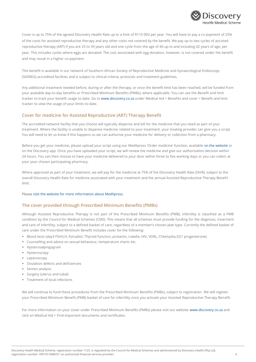

Cover is up to 75% of the agreed Discovery Health Rate up to a limit of R110 000 per year. You will have to pay a co-payment of 25% of the costs for assisted reproductive therapy and any other costs not covered by the benefit. We pay up to two cycles of assisted reproductive therapy (ART) if you are 25 to 39 years old and one cycle from the age of 40 up to and including 42 years of age, per year. This includes cycles where eggs are donated. The cost associated with egg donation, however, is not covered under the benefit and may result in a higher co-payment.

This benefit is available in our network of Southern African Society of Reproductive Medicine and Gynaecological Endoscopy (SASREG) accredited facilities and is subject to clinical criteria, protocols and treatment guidelines.

Any additional treatment needed before, during or after the therapy, or once the benefit limit has been reached, will be funded from your available day-to-day benefits or Prescribed Minimum Benefits (PMBs), where applicable. You can use the Benefit and limit tracker to track your benefit usage to-date. Go t[o www.discovery.co.za](http://www.discovery.co.za/) under Medical Aid > Benefits and cover > Benefit and limit tracker to view the usage of your limits to-date.

#### **Cover for medicine for Assisted Reproductive (ART) Therapy Benefit**

The accredited network facility that you choose will typically dispense and bill for the medicine that you need as part of your treatment. Where the facility is unable to dispense medicine related to your treatment, your treating provider can give you a script. You will need to let us know if this happens so we can authorise your medicine for delivery or collection from a pharmacy.

Before you get your medicine, please upload your script using our MedXpress 'Order medicine' function, available [on the website](https://www.discovery.co.za/medical-aid/order-meds-using-medxpress) or on the Discovery app. Once you have uploaded your script, we will review the medicine and give our authorisation decision within 24 hours. You can then choose to have your medicine delivered to your door within three to five working days or you can collect at your your chosen participating pharmacy.

Where approved as part of your treatment, we will pay for the medicine at 75% of the Discovery Health Rate (DHR), subject to the overall Discovery Health Rate for medicine associated with your treatment and the annual Assisted Reproductive Therapy Benefit limit.

Please [visit the website for more information about MedXpress.](https://www.discovery.co.za/medical-aid/order-meds-using-medxpress)

#### **The cover provided through Prescribed Minimum Benefits (PMBs)**

Although Assisted Reproductive Therapy is not part of the Prescribed Minimum Benefits (PMB), infertility is classified as a PMB condition by the Council for Medical Schemes (CMS). This means that all schemes must provide funding for the diagnosis, treatment and care of infertility, subject to a defined basket of care, regardless of a member's chosen plan type. Currently the defined basket of care under the Prescribed Minimum Benefit includes cover for the following:

- Blood tests (day3 FSH/LH, Estradiol, Thyroid function, prolactin, rubella, HIV, VDRL, Chlamydia,D21 progesterone)
- Counselling and advice on sexual behaviour, temperature charts etc.
- Hysterosalpingogram
- Hysteroscopy
- Laparoscopy
- Ovulation defects and deficiencies
- Semen analysis
- **E** Surgery (uterus and tubal)
- **•** Treatment of local infections

We will continue to fund these procedures from the Prescribed Minimum Benefits (PMBs), subject to registration. We will register your Prescribed Minimum Benefit (PMB) basket of care for infertility once you activate your Assisted Reproductive Therapy Benefit.

For more information on your cover under Prescribed Minimum Benefits (PMBs) please visit our website [www.discovery.co.za](http://www.discovery.co.za/) and click on Medical Aid > Find important documents and certificates.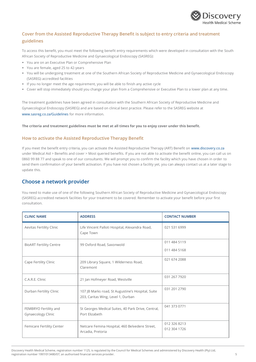

### **Cover from the Assisted Reproductive Therapy Benefit is subject to entry criteria and treatment guidelines**

To access this benefit, you must meet the following benefit entry requirements which were developed in consultation with the South African Society of Reproductive Medicine and Gynaecological Endoscopy (SASREG):

- You are on an Executive Plan or Comprehensive Plan
- You are female, aged 25 to 42-years
- You will be undergoing treatment at one of the Southern African Society of Reproductive Medicine and Gynaecological Endoscopy (SASREG) accredited facilities
- If you no longer meet the age requirement, you will be able to finish any active cycle
- Cover will stop immediately should you change your plan from a Comprehensive or Executive Plan to a lower plan at any time.

The treatment guidelines have been agreed in consultation with the Southern African Society of Reproductive Medicine and Gynaecological Endoscopy (SASREG) and are based on clinical best practice. Please refer to the SASREG website at [www.sasreg.co.za/Guidelines](http://www.sasreg.co.za/Guidelines) for more information.

**The criteria and treatment guidelines must be met at all times for you to enjoy cover under this benefit.**

#### **How to activate the Assisted Reproductive Therapy Benefit**

If you meet the benefit entry criteria, you can activate the Assisted Reproductive Therapy (ART) Benefit o[n www.discovery.co.za](http://www.discovery.co.za/) under Medical Aid > Benefits and cover > Most queried benefits. If you are not able to activate the benefit online, you can call us on 0860 99 88 77 and speak to one of our consultants. We will prompt you to confirm the facility which you have chosen in order to send them confirmation of your benefit activation. If you have not chosen a facility yet, you can always contact us at a later stage to update this.

### **Choose a network provider**

You need to make use of one of the following Southern African Society of Reproductive Medicine and Gynaecological Endoscopy (SASREG) accredited network facilities for your treatment to be covered. Remember to activate your benefit before your first consultation.

| <b>CLINIC NAME</b>                          | <b>ADDRESS</b>                                                                          | <b>CONTACT NUMBER</b>        |
|---------------------------------------------|-----------------------------------------------------------------------------------------|------------------------------|
| Aevitas Fertility Clinic                    | Life Vincent Palloti Hospital, Alexandra Road,<br>Cape Town                             | 021 531 6999                 |
| <b>BioART Fertility Centre</b>              | 99 Oxford Road, Saxonwold                                                               | 011 484 5119<br>011 484 5168 |
| Cape Fertility Clinic                       | 209 Library Square, 1 Wilderness Road,<br>Claremont                                     | 021 674 2088                 |
| C.A.R.E. Clinic                             | 21 Jan Hofmeyer Road, Westville                                                         | 031 267 7920                 |
| Durban Fertility Clinic                     | 107 JB Marks road, St Augustine's Hospital, Suite<br>203, Caritas Wing, Level 1, Durban | 031 201 2790                 |
| FEMBRYO Fertility and<br>Gynaecology Clinic | St Georges Medical Suites, 40 Park Drive, Central,<br>Port Elizabeth                    | 041 373 0771                 |
| Femicare Fertility Center                   | Netcare Femina Hospital, 460 Belvedere Street,<br>Arcadia, Pretoria                     | 012 326 8213<br>012 304 1726 |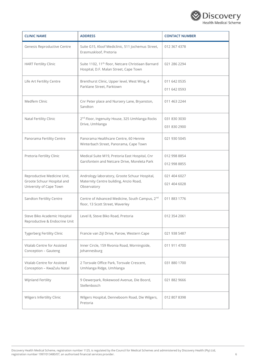

| <b>CLINIC NAME</b>                                                                   | <b>ADDRESS</b>                                                                                           | <b>CONTACT NUMBER</b>        |
|--------------------------------------------------------------------------------------|----------------------------------------------------------------------------------------------------------|------------------------------|
| Genesis Reproductive Centre                                                          | Suite G15, Kloof Mediclinic, 511 Jochemus Street,<br>Erasmuskloof, Pretoria                              | 012 367 4378                 |
| <b>HART Fertility Clinic</b>                                                         | Suite 1102, 11 <sup>th</sup> floor, Netcare Christiaan Barnard<br>Hospital, D.F. Malan Street, Cape Town | 021 286 2294                 |
| Life Art Fertility Centre                                                            | Brenthurst Clinic, Upper level, West Wing, 4<br>Parklane Street, Parktown                                | 011 642 0535<br>011 642 0593 |
| Medfem Clinic                                                                        | Cnr Peter place and Nursery Lane, Bryanston,<br>Sandton                                                  | 011 463 2244                 |
| Natal Fertility Clinic                                                               | 2 <sup>nd</sup> Floor, Ingenuity House, 325 Umhlanga Rocks<br>Drive, Umhlanga                            | 031 830 3030<br>031 830 2900 |
| Panorama Fertility Centre                                                            | Panorama Healthcare Centre, 60 Hennie<br>Winterbach Street, Panorama, Cape Town                          | 021 930 5045                 |
| Pretoria Fertility Clinic                                                            | Medical Suite M19, Pretoria East Hospital, Cnr<br>Garsfontein and Netcare Drive, Moreleta Park           | 012 998 8854<br>012 998 8855 |
| Reproductive Medicine Unit,<br>Groote Schuur Hospital and<br>University of Cape Town | Andrology laboratory, Groote Schuur Hospital,<br>Maternity Centre building, Anzio Road,<br>Observatory   | 021 404 6027<br>021 404 6028 |
| Sandton Fertility Centre                                                             | Centre of Advanced Medicine, South Campus, 2 <sup>nd</sup><br>floor, 13 Scott Street, Waverley           | 011 883 1776                 |
| Steve Biko Academic Hospital<br>Reproductive & Endocrine Unit                        | Level 8, Steve Biko Road, Pretoria                                                                       | 012 354 2061                 |
| Tygerberg Fertility Clinic                                                           | Francie van Zijl Drive, Parow, Western Cape                                                              | 021 938 5487                 |
| Vitalab Centre for Assisted<br>Conception - Gauteng                                  | Inner Circle, 159 Rivonia Road, Morningside,<br>Johannesburg                                             | 011 911 4700                 |
| Vitalab Centre for Assisted<br>Conception - KwaZulu Natal                            | 2 Torsvale Office Park, Torsvale Crescent,<br>Umhlanga Ridge, Umhlanga                                   | 031 880 1700                 |
| Wijnland Fertility                                                                   | 9 Oewerpark, Rokewood Avenue, Die Boord,<br>Stellenbosch                                                 | 021 882 9666                 |
| Wilgers Infertility Clinic                                                           | Wilgers Hospital, Denneboom Road, Die Wilgers,<br>Pretoria                                               | 012 807 8398                 |